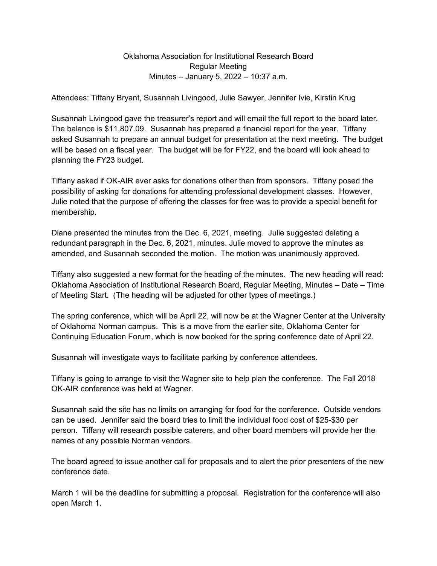## Oklahoma Association for Institutional Research Board Regular Meeting Minutes – January 5, 2022 – 10:37 a.m.

Attendees: Tiffany Bryant, Susannah Livingood, Julie Sawyer, Jennifer Ivie, Kirstin Krug

Susannah Livingood gave the treasurer's report and will email the full report to the board later. The balance is \$11,807.09. Susannah has prepared a financial report for the year. Tiffany asked Susannah to prepare an annual budget for presentation at the next meeting. The budget will be based on a fiscal year. The budget will be for FY22, and the board will look ahead to planning the FY23 budget.

Tiffany asked if OK-AIR ever asks for donations other than from sponsors. Tiffany posed the possibility of asking for donations for attending professional development classes. However, Julie noted that the purpose of offering the classes for free was to provide a special benefit for membership.

Diane presented the minutes from the Dec. 6, 2021, meeting. Julie suggested deleting a redundant paragraph in the Dec. 6, 2021, minutes. Julie moved to approve the minutes as amended, and Susannah seconded the motion. The motion was unanimously approved.

Tiffany also suggested a new format for the heading of the minutes. The new heading will read: Oklahoma Association of Institutional Research Board, Regular Meeting, Minutes – Date – Time of Meeting Start. (The heading will be adjusted for other types of meetings.)

The spring conference, which will be April 22, will now be at the Wagner Center at the University of Oklahoma Norman campus. This is a move from the earlier site, Oklahoma Center for Continuing Education Forum, which is now booked for the spring conference date of April 22.

Susannah will investigate ways to facilitate parking by conference attendees.

Tiffany is going to arrange to visit the Wagner site to help plan the conference. The Fall 2018 OK-AIR conference was held at Wagner.

Susannah said the site has no limits on arranging for food for the conference. Outside vendors can be used. Jennifer said the board tries to limit the individual food cost of \$25-\$30 per person. Tiffany will research possible caterers, and other board members will provide her the names of any possible Norman vendors.

The board agreed to issue another call for proposals and to alert the prior presenters of the new conference date.

March 1 will be the deadline for submitting a proposal. Registration for the conference will also open March 1.